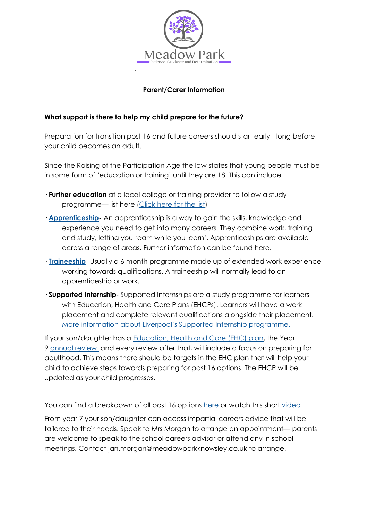

## **Parent/Carer Information**

## **What support is there to help my child prepare for the future?**

Preparation for transition post 16 and future careers should start early - long before your child becomes an adult.

Since the Raising of the Participation Age the law states that young people must be in some form of 'education or training' until they are 18. This can include

- · **Further education** at a local college or training provider to follow a study programme— list here [\(Click here for the list\)](https://meadowparkknowsley.co.uk/wp-content/uploads/2021/03/List-of-Colleges-1.pdf)
- · **[Apprenticeship](https://www.gov.uk/topic/further-education-skills/apprenticeships)-** An apprenticeship is a way to gain the skills, knowledge and experience you need to get into many careers. They combine work, training and study, letting you 'earn while you learn'. Apprenticeships are available across a range of areas. Further information can be found here.
- · **[Traineeship](https://www.gov.uk/government/collections/traineeships--2)** Usually a 6 month programme made up of extended work experience working towards qualifications. A traineeship will normally lead to an apprenticeship or work.
- · **Supported Internship** Supported Internships are a study programme for learners with Education, Health and Care Plans (EHCPs). Learners will have a work placement and complete relevant qualifications alongside their placement. More information about [Liverpool's Supported Internship programme.](https://fsd.liverpool.gov.uk/kb5/liverpool/fsd/results.page?localofferchannel=7-4)

If your son/daughter has a [Education, Health and Care \(EHC\) plan,](https://contact.org.uk/advice-and-support/education-learning/ehc-plans-assessments/what-is-an-ehc-plan/) the Year 9 [annual review](https://contact.org.uk/advice-and-support/education-learning/ehc-plans-assessments/annual-reviews/) and every review after that, will include a focus on preparing for adulthood. This means there should be targets in the EHC plan that will help your child to achieve steps towards preparing for post 16 options. The EHCP will be updated as your child progresses.

You can find a breakdown of all post 16 options [here](https://nationalcareers.service.gov.uk/careers-advice/career-choices-at-16) or watch this short [video](https://www.youtube.com/watch?app=desktop&v=f_xAQNNi4pA)

From year 7 your son/daughter can access impartial careers advice that will be tailored to their needs. Speak to Mrs Morgan to arrange an appointment— parents are welcome to speak to the school careers advisor or attend any in school meetings. Contact jan.morgan@meadowparkknowsley.co.uk to arrange.